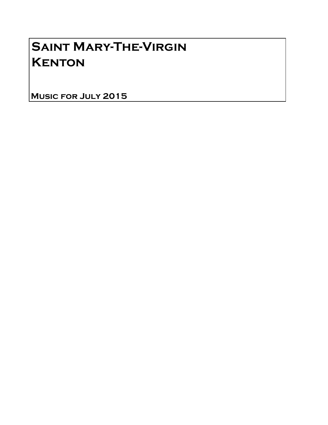## Saint Mary-The-Virgin **KENTON**

Music for July 2015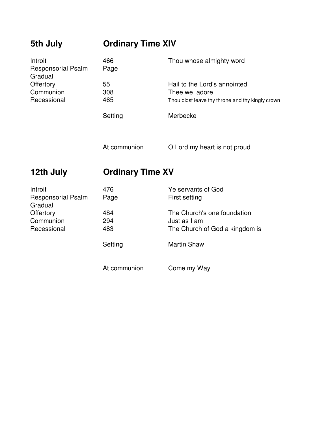| 5th July                                        | <b>Ordinary Time XIV</b> |                                                  |
|-------------------------------------------------|--------------------------|--------------------------------------------------|
| Introit<br><b>Responsorial Psalm</b><br>Gradual | 466<br>Page              | Thou whose almighty word                         |
| Offertory                                       | 55                       | Hail to the Lord's annointed                     |
| Communion                                       | 308                      | Thee we adore                                    |
| Recessional                                     | 465                      | Thou didst leave thy throne and thy kingly crown |
|                                                 | Setting                  | Merbecke                                         |
|                                                 | At communion             | O Lord my heart is not proud                     |
| 12th July                                       | <b>Ordinary Time XV</b>  |                                                  |
| Introit                                         | 476                      | Ye servants of God                               |
| <b>Responsorial Psalm</b><br>Gradual            | Page                     | First setting                                    |
| Offertory                                       | 484                      | The Church's one foundation                      |
| Communion                                       | 294                      | Just as I am                                     |
| Recessional                                     | 483                      | The Church of God a kingdom is                   |
|                                                 | Setting                  | <b>Martin Shaw</b>                               |
|                                                 | At communion             | Come my Way                                      |